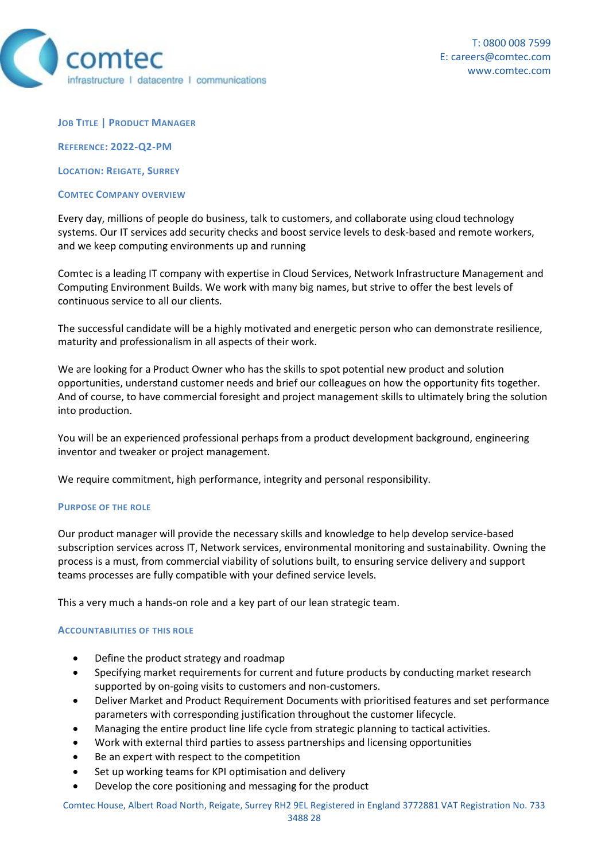

**JOB TITLE | PRODUCT MANAGER**

**REFERENCE: 2022-Q2-PM**

**LOCATION: REIGATE, SURREY**

### **COMTEC COMPANY OVERVIEW**

Every day, millions of people do business, talk to customers, and collaborate using cloud technology systems. Our IT services add security checks and boost service levels to desk-based and remote workers, and we keep computing environments up and running

Comtec is a leading IT company with expertise in Cloud Services, Network Infrastructure Management and Computing Environment Builds. We work with many big names, but strive to offer the best levels of continuous service to all our clients.

The successful candidate will be a highly motivated and energetic person who can demonstrate resilience, maturity and professionalism in all aspects of their work.

We are looking for a Product Owner who has the skills to spot potential new product and solution opportunities, understand customer needs and brief our colleagues on how the opportunity fits together. And of course, to have commercial foresight and project management skills to ultimately bring the solution into production.

You will be an experienced professional perhaps from a product development background, engineering inventor and tweaker or project management.

We require commitment, high performance, integrity and personal responsibility.

### **PURPOSE OF THE ROLE**

Our product manager will provide the necessary skills and knowledge to help develop service-based subscription services across IT, Network services, environmental monitoring and sustainability. Owning the process is a must, from commercial viability of solutions built, to ensuring service delivery and support teams processes are fully compatible with your defined service levels.

This a very much a hands-on role and a key part of our lean strategic team.

### **ACCOUNTABILITIES OF THIS ROLE**

- Define the product strategy and roadmap
- Specifying market requirements for current and future products by conducting market research supported by on-going visits to customers and non-customers.
- Deliver Market and Product Requirement Documents with prioritised features and set performance parameters with corresponding justification throughout the customer lifecycle.
- Managing the entire product line life cycle from strategic planning to tactical activities.
- Work with external third parties to assess partnerships and licensing opportunities
- Be an expert with respect to the competition
- Set up working teams for KPI optimisation and delivery
- Develop the core positioning and messaging for the product

Comtec House, Albert Road North, Reigate, Surrey RH2 9EL Registered in England 3772881 VAT Registration No. 733 3488 28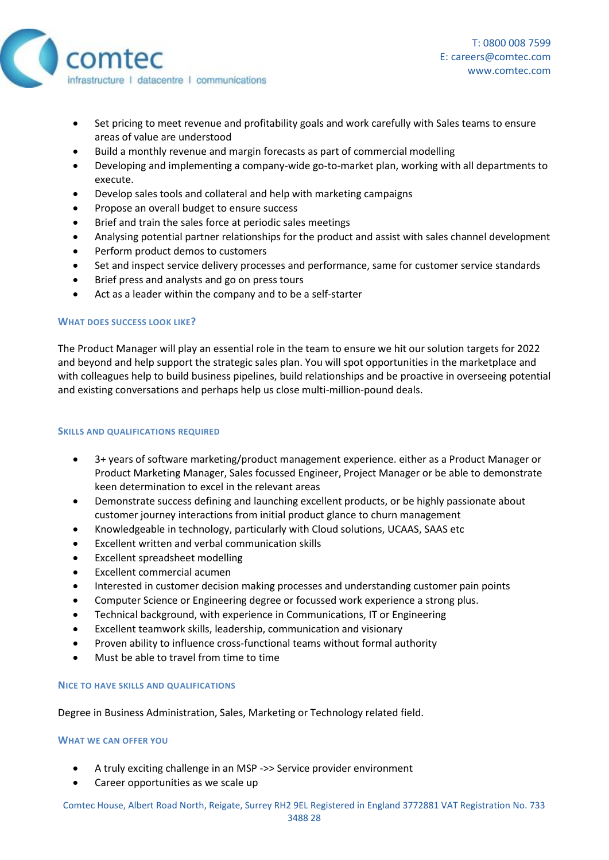

- Set pricing to meet revenue and profitability goals and work carefully with Sales teams to ensure areas of value are understood
- Build a monthly revenue and margin forecasts as part of commercial modelling
- Developing and implementing a company-wide go-to-market plan, working with all departments to execute.
- Develop sales tools and collateral and help with marketing campaigns
- Propose an overall budget to ensure success
- Brief and train the sales force at periodic sales meetings
- Analysing potential partner relationships for the product and assist with sales channel development
- Perform product demos to customers
- Set and inspect service delivery processes and performance, same for customer service standards
- Brief press and analysts and go on press tours
- Act as a leader within the company and to be a self-starter

# **WHAT DOES SUCCESS LOOK LIKE?**

The Product Manager will play an essential role in the team to ensure we hit our solution targets for 2022 and beyond and help support the strategic sales plan. You will spot opportunities in the marketplace and with colleagues help to build business pipelines, build relationships and be proactive in overseeing potential and existing conversations and perhaps help us close multi-million-pound deals.

## **SKILLS AND QUALIFICATIONS REQUIRED**

- 3+ years of software marketing/product management experience. either as a Product Manager or Product Marketing Manager, Sales focussed Engineer, Project Manager or be able to demonstrate keen determination to excel in the relevant areas
- Demonstrate success defining and launching excellent products, or be highly passionate about customer journey interactions from initial product glance to churn management
- Knowledgeable in technology, particularly with Cloud solutions, UCAAS, SAAS etc
- Excellent written and verbal communication skills
- Excellent spreadsheet modelling
- Excellent commercial acumen
- Interested in customer decision making processes and understanding customer pain points
- Computer Science or Engineering degree or focussed work experience a strong plus.
- Technical background, with experience in Communications, IT or Engineering
- Excellent teamwork skills, leadership, communication and visionary
- Proven ability to influence cross-functional teams without formal authority
- Must be able to travel from time to time

## **NICE TO HAVE SKILLS AND QUALIFICATIONS**

Degree in Business Administration, Sales, Marketing or Technology related field.

### **WHAT WE CAN OFFER YOU**

- A truly exciting challenge in an MSP ->> Service provider environment
- Career opportunities as we scale up